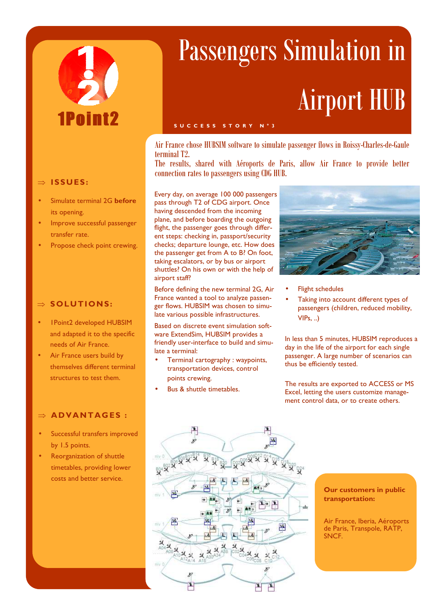

### ⇒ **ISSUES :**

- Simulate terminal 2G **before**  its opening.
- Improve successful passenger transfer rate.
- Propose check point crewing.

#### ⇒ **SOLUTIONS:**

- 1Point2 developed HUBSIM and adapted it to the specific needs of Air France.
- Air France users build by themselves different terminal structures to test them.

## ⇒ **AD VANTAG ES :**

- Successful transfers improved by 1.5 points.
- Reorganization of shuttle timetables, providing lower costs and better service.

# Passengers Simulation in Airport HUB

Air France chose HUBSIM software to simulate passenger flows in Roissy-Charles-de-Gaule terminal T2.

The results, shared with Aéroports de Paris, allow Air France to provide better connection rates to passengers using CDG HUB.

Every day, on average 100 000 passengers pass through T2 of CDG airport. Once having descended from the incoming plane, and before boarding the outgoing flight, the passenger goes through different steps: checking in, passport/security checks; departure lounge, etc. How does the passenger get from A to B? On foot, taking escalators, or by bus or airport shuttles? On his own or with the help of airport staff?

**S U C C E S S S T O R Y N ° 3** 

Before defining the new terminal 2G, Air France wanted a tool to analyze passenger flows. HUBSIM was chosen to simulate various possible infrastructures.

Based on discrete event simulation software ExtendSim, HUBSIM provides a friendly user-interface to build and simulate a terminal:

- Terminal cartography : waypoints, transportation devices, control points crewing.
- Bus & shuttle timetables.



- **Flight schedules**
- Taking into account different types of passengers (children, reduced mobility,  $VIPs, \ldots$

In less than 5 minutes, HUBSIM reproduces a day in the life of the airport for each single passenger. A large number of scenarios can thus be efficiently tested.

The results are exported to ACCESS or MS Excel, letting the users customize management control data, or to create others.



**Our customers in public transportation:** 

Air France, Iberia, Aéroports de Paris, Transpole, RATP, SNCF.